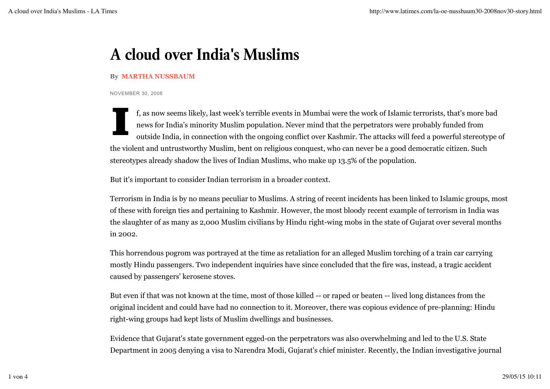## **A cloud over India's Muslims**

## **By MARTHA NUSSBAUM**

NOVEMBER 30, 2008

f, as now seems likely, last week's terrible events in Mumbai were the work of Islamic terrorists, that's more bad news for India's minority Muslim population. Never mind that the perpetrators were probably funded from outside India, in connection with the ongoing conflict over Kashmir. The attacks will feed a powerful stereotype of the violent and untrustworthy Muslim, bent on religious conquest, who can never be a good democratic citizen. Such stereotypes already shadow the lives of Indian Muslims, who make up 13.5% of the population.

But it's important to consider Indian terrorism in a broader context.

Terrorism in India is by no means peculiar to Muslims. A string of recent incidents has been linked to Islamic groups, most of these with foreign ties and pertaining to Kashmir. However, the most bloody recent example of terrorism in India was the slaughter of as many as 2,000 Muslim civilians by Hindu right-wing mobs in the state of Gujarat over several months in 2002.

This horrendous pogrom was portrayed at the time as retaliation for an alleged Muslim torching of a train car carrying mostly Hindu passengers. Two independent inquiries have since concluded that the fire was, instead, a tragic accident caused by passengers' kerosene stoves.

But even if that was not known at the time, most of those killed -- or raped or beaten -- lived long distances from the original incident and could have had no connection to it. Moreover, there was copious evidence of pre-planning: Hindu right-wing groups had kept lists of Muslim dwellings and businesses.

Evidence that Gujarat's state government egged-on the perpetrators was also overwhelming and led to the U.S. State Department in 2005 denying a visa to Narendra Modi, Gujarat's chief minister. Recently, the Indian investigative journal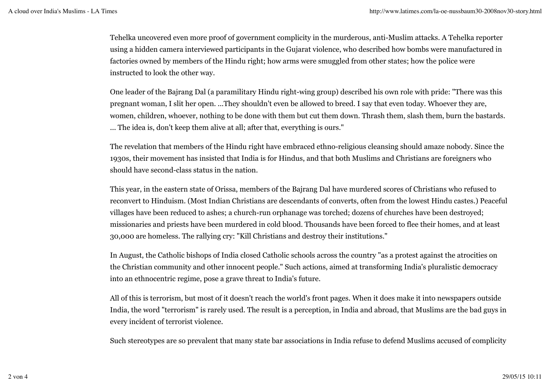Tehelka uncovered even more proof of government complicity in the murderous, anti-Muslim attacks. A Tehelka reporter using a hidden camera interviewed participants in the Gujarat violence, who described how bombs were manufactured in factories owned by members of the Hindu right; how arms were smuggled from other states; how the police were instructed to look the other way.

One leader of the Bajrang Dal (a paramilitary Hindu right-wing group) described his own role with pride: "There was this pregnant woman, I slit her open. ...They shouldn't even be allowed to breed. I say that even today. Whoever they are, women, children, whoever, nothing to be done with them but cut them down. Thrash them, slash them, burn the bastards. ... The idea is, don't keep them alive at all; after that, everything is ours."

The revelation that members of the Hindu right have embraced ethno-religious cleansing should amaze nobody. Since the 1930s, their movement has insisted that India is for Hindus, and that both Muslims and Christians are foreigners who should have second-class status in the nation.

This year, in the eastern state of Orissa, members of the Bajrang Dal have murdered scores of Christians who refused to reconvert to Hinduism. (Most Indian Christians are descendants of converts, often from the lowest Hindu castes.) Peaceful villages have been reduced to ashes; a church-run orphanage was torched; dozens of churches have been destroyed; missionaries and priests have been murdered in cold blood. Thousands have been forced to flee their homes, and at least 30,000 are homeless. The rallying cry: "Kill Christians and destroy their institutions."

In August, the Catholic bishops of India closed Catholic schools across the country "as a protest against the atrocities on the Christian community and other innocent people." Such actions, aimed at transforming India's pluralistic democracy into an ethnocentric regime, pose a grave threat to India's future.

All of this is terrorism, but most of it doesn't reach the world's front pages. When it does make it into newspapers outside India, the word "terrorism" is rarely used. The result is a perception, in India and abroad, that Muslims are the bad guys in every incident of terrorist violence.

Such stereotypes are so prevalent that many state bar associations in India refuse to defend Muslims accused of complicity